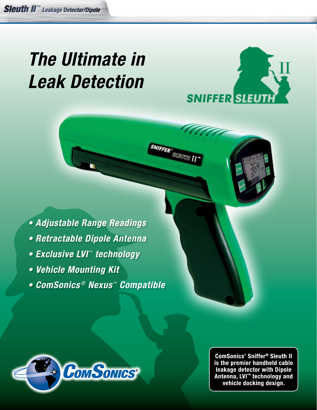# *The Ultimate in Leak Detection*



**SNIFFER** SUBUTER

- **Adjustable Range Readings**
- **Retractable Dipole Antenna**
- **Exclusive LVI***™ technology*
- **Vehicle Mounting Kit**
- **ComSonics** *®* **Nexus***™* **Compatible**



**ComSonics' Sniffer<sup>®</sup> Sleuth II** is the premier handheld cable leakage detector with Dipole<br>Antenna, LVI<sup>\*\*</sup> technology and vehicle docking design.